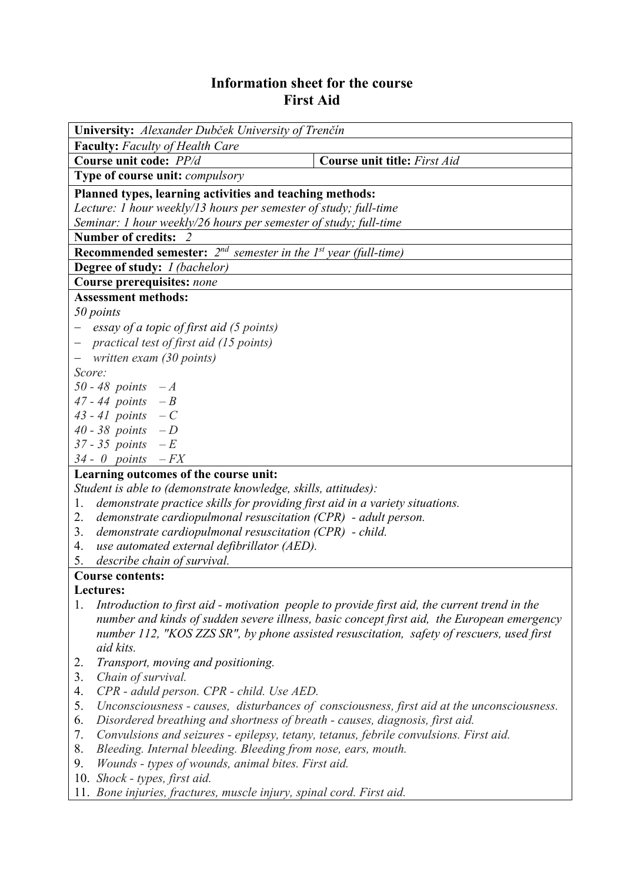## **Information sheet for the course First Aid**

| University: Alexander Dubček University of Trenčín                                                 |  |  |  |  |  |  |
|----------------------------------------------------------------------------------------------------|--|--|--|--|--|--|
| <b>Faculty:</b> Faculty of Health Care                                                             |  |  |  |  |  |  |
| <b>Course unit title:</b> First Aid<br>Course unit code: PP/d                                      |  |  |  |  |  |  |
| Type of course unit: <i>compulsory</i>                                                             |  |  |  |  |  |  |
| Planned types, learning activities and teaching methods:                                           |  |  |  |  |  |  |
| Lecture: 1 hour weekly/13 hours per semester of study; full-time                                   |  |  |  |  |  |  |
| Seminar: 1 hour weekly/26 hours per semester of study; full-time                                   |  |  |  |  |  |  |
| <b>Number of credits:</b>                                                                          |  |  |  |  |  |  |
| <b>Recommended semester:</b> $2^{nd}$ semester in the $1^{st}$ year (full-time)                    |  |  |  |  |  |  |
| <b>Degree of study:</b> <i>I (bachelor)</i>                                                        |  |  |  |  |  |  |
| Course prerequisites: none                                                                         |  |  |  |  |  |  |
| <b>Assessment methods:</b>                                                                         |  |  |  |  |  |  |
| 50 points                                                                                          |  |  |  |  |  |  |
| essay of a topic of first aid (5 points)                                                           |  |  |  |  |  |  |
| - practical test of first aid (15 points)                                                          |  |  |  |  |  |  |
| written exam (30 points)                                                                           |  |  |  |  |  |  |
| Score:                                                                                             |  |  |  |  |  |  |
| 50 - 48 points $-A$                                                                                |  |  |  |  |  |  |
| 47 - 44 points $-B$                                                                                |  |  |  |  |  |  |
| 43 - 41 points $-C$                                                                                |  |  |  |  |  |  |
| 40 - 38 points $-D$                                                                                |  |  |  |  |  |  |
| 37 - 35 <i>points</i> $-E$                                                                         |  |  |  |  |  |  |
| $34 - 0$ points $-FX$                                                                              |  |  |  |  |  |  |
| Learning outcomes of the course unit:                                                              |  |  |  |  |  |  |
| Student is able to (demonstrate knowledge, skills, attitudes):                                     |  |  |  |  |  |  |
| demonstrate practice skills for providing first aid in a variety situations.<br>1.                 |  |  |  |  |  |  |
| demonstrate cardiopulmonal resuscitation $(CPR)$ - adult person.<br>2.                             |  |  |  |  |  |  |
| demonstrate cardiopulmonal resuscitation (CPR) - child.<br>3.                                      |  |  |  |  |  |  |
| use automated external defibrillator (AED).<br>4.                                                  |  |  |  |  |  |  |
| describe chain of survival.<br>5.                                                                  |  |  |  |  |  |  |
| <b>Course contents:</b>                                                                            |  |  |  |  |  |  |
| Lectures:                                                                                          |  |  |  |  |  |  |
| Introduction to first aid - motivation people to provide first aid, the current trend in the<br>1. |  |  |  |  |  |  |
| number and kinds of sudden severe illness, basic concept first aid, the European emergency         |  |  |  |  |  |  |
| number 112, "KOS ZZS SR", by phone assisted resuscitation, safety of rescuers, used first          |  |  |  |  |  |  |
| aid kits.                                                                                          |  |  |  |  |  |  |
| Transport, moving and positioning.<br>2.                                                           |  |  |  |  |  |  |
| Chain of survival.<br>3.                                                                           |  |  |  |  |  |  |
| 4.<br>CPR - aduld person. CPR - child. Use AED.                                                    |  |  |  |  |  |  |
| Unconsciousness - causes, disturbances of consciousness, first aid at the unconsciousness.<br>5.   |  |  |  |  |  |  |
| Disordered breathing and shortness of breath - causes, diagnosis, first aid.<br>6.                 |  |  |  |  |  |  |
| Convulsions and seizures - epilepsy, tetany, tetanus, febrile convulsions. First aid.<br>7.<br>8.  |  |  |  |  |  |  |
| Bleeding. Internal bleeding. Bleeding from nose, ears, mouth.                                      |  |  |  |  |  |  |
| Wounds - types of wounds, animal bites. First aid.<br>9.                                           |  |  |  |  |  |  |

- 10. *Shock types, first aid.*
- 11. *Bone injuries, fractures, muscle injury, spinal cord. First aid.*